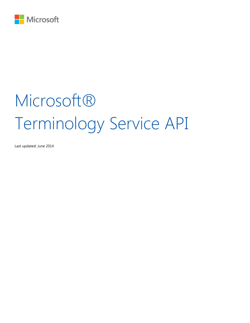

# Microsoft® Terminology Service API

Last updated: June 2014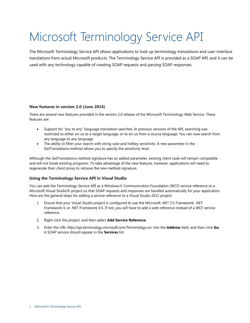## <span id="page-2-0"></span>Microsoft Terminology Service API

The Microsoft Terminology Service API allows applications to look up terminology translations and user-interface translations from actual Microsoft products. The Terminology Service API is provided as a SOAP API, and it can be used with any technology capable of creating SOAP requests and parsing SOAP responses.

#### <span id="page-2-1"></span>**New features in version 2.0 (June 2014)**

There are several new features provided in the version 2.0 release of the Microsoft Terminology Web Service. These features are:

- Support for "any to any" language translation searches. In previous versions of the API, searching was restricted to either en-us to a target language, or to en-us from a source language. You can now search from any language to any language.
- The ability to filter your search with string case and hotkey sensitivity. A new parameter in the GetTranslations method allows you to specify the sensitivity level.

Although the GetTranslations method signature has an added parameter, existing client code will remain compatible and will not break existing programs. To take advantage of the new features, however, applications will need to regenerate their client proxy to retrieve the new method signature.

#### <span id="page-2-2"></span>**Using the Terminology Service API in Visual Studio**

You can add the Terminology Service API as a Windows® Communication Foundation (WCF) service reference to a Microsoft Visual Studio® project so that SOAP requests and responses are handled automatically for your application. Here are the general steps for adding a service reference to a Visual Studio 2012 project:

- 1. Ensure that your Visual Studio project is configured to use the Microsoft .NET 3.5 Framework, .NET Framework 4, or .NET Framework 4.5. If not, you will have to add a web reference instead of a WCF service reference.
- 2. Right-click the project, and then select **Add Service Reference**.
- 3. Enter the URL *http://api.terminology.microsoft.com/Terminology.svc* into the **Address** field, and then click **Go**. A SOAP service should appear in the **Services** list.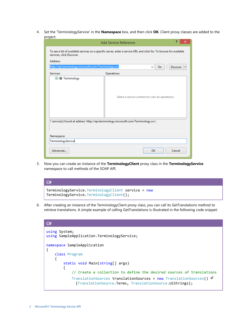4. Set the 'TerminologyService' in the **Namespace** box, and then click **OK**. Client proxy classes are added to the project.

|                                                                                                                           | Add Service Reference                                                                                               | っ               | × |
|---------------------------------------------------------------------------------------------------------------------------|---------------------------------------------------------------------------------------------------------------------|-----------------|---|
| services, click Discover.<br><b>Address:</b>                                                                              | To see a list of available services on a specific server, enter a service URL and click Go. To browse for available |                 |   |
|                                                                                                                           | http://api.terminology.microsoft.com/Terminology.svc<br>Go<br>v                                                     | <b>Discover</b> |   |
| Services:                                                                                                                 | Operations:                                                                                                         |                 |   |
| <b>⊙</b> : <b>D</b> Terminology                                                                                           | Select a service contract to view its operations.                                                                   |                 |   |
| 1 service(s) found at address 'http://api.terminology.microsoft.com/Terminology.svc'.<br>Namespace:<br>TerminologyService |                                                                                                                     |                 |   |
| Advanced                                                                                                                  | OK                                                                                                                  | Cancel          |   |

5. Now you can create an instance of the **TerminologyClient** proxy class in the **TerminologyService** namespace to call methods of the SOAP API.

| - C#                                                                                          |  |
|-----------------------------------------------------------------------------------------------|--|
| TerminologyService.TerminologyClient service = new<br>TerminologyService.TerminologyClient(); |  |

6. After creating an instance of the TerminologyClient proxy class, you can call its GetTranslations method to retrieve translations. A simple example of calling GetTranslations is illustrated in the following code snippet:

| C#                                                                                                                                   |
|--------------------------------------------------------------------------------------------------------------------------------------|
| using System;<br>using SampleApplication.TerminologyService;                                                                         |
| namespace SampleApplication<br>class Program                                                                                         |
| static void Main(string[] args)                                                                                                      |
| // Create a collection to define the desired sources of translations                                                                 |
| TranslationSources translationSources = new TranslationSources() $\theta$<br>{TranslationSource.Terms, TranslationSource.UiStrings}; |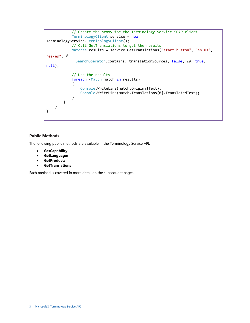```
 // Create the proxy for the Terminology Service SOAP client
             TerminologyClient service = new
TerminologyService.TerminologyClient();
             // Call GetTranslations to get the results
            Matches results = service.GetTranslations("start button", "en-us", 
"es-es", ↵
             SearchOperator.Contains, translationSources, false, 20, true,
null);
             // Use the results
            foreach (Match match in results)
\{ Console.WriteLine(match.OriginalText);
                Console.WriteLine(match.Translations[0].TranslatedText);
 }
        }
    }
}
```
#### <span id="page-4-0"></span>**Public Methods**

The following public methods are available in the Terminology Service API:

- **GetCapability**
- **GetLanguages**
- **GetProducts**
- **GetTranslations**

Each method is covered in more detail on the subsequent pages.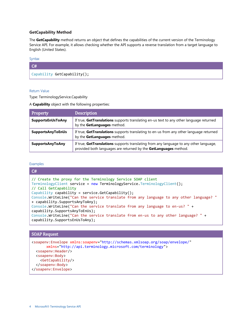#### <span id="page-5-0"></span>**GetCapability Method**

The **GetCapability** method returns an object that defines the capabilities of the current version of the Terminology Service API. For example, it allows checking whether the API supports a reverse translation from a target language to English (United States).

#### <span id="page-5-1"></span>Syntax

### $C#$ Capability GetCapability();

#### <span id="page-5-2"></span>Return Value

Type: TerminologyService.Capability

A **Capability** object with the following properties:

| Property                 | <b>Description</b>                                                                                                                                         |
|--------------------------|------------------------------------------------------------------------------------------------------------------------------------------------------------|
| SupportsEnUsToAny        | If true, GetTranslations supports translating en-us text to any other language returned<br>by the GetLanguages method.                                     |
| <b>SupportsAnyToEnUs</b> | If true, GetTranslations supports translating to en-us from any other language returned<br>by the GetLanguages method.                                     |
| <b>SupportsAnyToAny</b>  | If true, GetTranslations supports translating from any language to any other language,<br>provided both languages are returned by the GetLanguages method. |

#### <span id="page-5-3"></span>Examples

| C#                                                                                                                   |
|----------------------------------------------------------------------------------------------------------------------|
| // Create the proxy for the Terminology Service SOAP client                                                          |
| TerminologyClient service = new TerminologyService.TerminologyClient();                                              |
| // Call GetCapability                                                                                                |
| Capability capability = service.GetCapability();                                                                     |
| Console.WriteLine("Can the service translate from any language to any other language? "                              |
| + capability.SupportsAnyToAny);                                                                                      |
| Console.WriteLine("Can the service translate from any language to en-us? " +                                         |
| capability.SupportsAnyToEnUs);                                                                                       |
| Console.WriteLine("Can the service translate from en-us to any other language? " +<br>capability.SupportsEnUsToAny); |

#### SOAP Request

```
<soapenv:Envelope xmlns:soapenv="http://schemas.xmlsoap.org/soap/envelope/"
      xmlns="http://api.terminology.microsoft.com/terminology">
  <soapenv:Header/>
  <soapenv:Body>
    <GetCapability/>
  </soapenv:Body>
</soapenv:Envelope>
```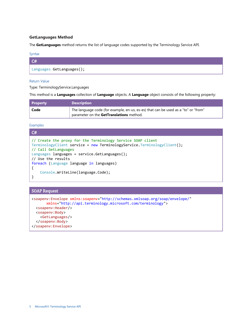#### <span id="page-6-0"></span>**GetLanguages Method**

<span id="page-6-1"></span>The **GetLanguages** method returns the list of language codes supported by the Terminology Service API.

| × |  |
|---|--|

| $\mathcal{C}$             |  |
|---------------------------|--|
| Languages GetLanguages(); |  |

#### <span id="page-6-2"></span>Return Value

Type: TerminologyService.Languages

This method is a **Languages** collection of **Language** objects. A **Language** object consists of the following property:

| <b>Property</b> | <b>Description</b>                                                                                                             |
|-----------------|--------------------------------------------------------------------------------------------------------------------------------|
| Code            | The language code (for example, en-us, es-es) that can be used as a "to" or "from"<br>parameter on the GetTranslations method. |

<span id="page-6-3"></span>Examples

C#

```
// Create the proxy for the Terminology Service SOAP client
TerminologyClient service = new TerminologyService.TerminologyClient();
// Call GetLanguages
Languages languages = service.GetLanguages();
// Use the results
foreach (Language language in languages)
{
     Console.WriteLine(language.Code);
}
```
#### SOAP Request

```
<soapenv:Envelope xmlns:soapenv="http://schemas.xmlsoap.org/soap/envelope/"
      xmlns="http://api.terminology.microsoft.com/terminology">
  <soapenv:Header/>
  <soapenv:Body>
    <GetLanguages/>
  </soapenv:Body>
</soapenv:Envelope>
```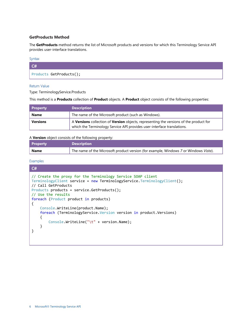#### <span id="page-7-0"></span>**GetProducts Method**

The **GetProducts** method returns the list of Microsoft products and versions for which this Terminology Service API provides user-interface translations.

#### <span id="page-7-1"></span>Syntax

| $ $ C# $ $              |  |
|-------------------------|--|
| Products GetProducts(); |  |

#### <span id="page-7-2"></span>Return Value

Type: TerminologyService.Products

This method is a **Products** collection of **Product** objects. A **Product** object consists of the following properties:

| <b>Property</b> | <b>Description</b>                                                                                                                                                |
|-----------------|-------------------------------------------------------------------------------------------------------------------------------------------------------------------|
| <b>Name</b>     | The name of the Microsoft product (such as Windows).                                                                                                              |
| <b>Versions</b> | A Versions collection of Version objects, representing the versions of the product for<br>which the Terminology Service API provides user-interface translations. |

#### A **Version** object consists of the following property:

| <b>Property</b> | <b>Description</b>                                                                   |
|-----------------|--------------------------------------------------------------------------------------|
| <b>Name</b>     | The name of the Microsoft product version (for example, Windows 7 or Windows Vista). |

#### <span id="page-7-3"></span>Examples

```
C# 
// Create the proxy for the Terminology Service SOAP client
TerminologyClient service = new TerminologyService.TerminologyClient();
// Call GetProducts
Products products = service.GetProducts();
// Use the results
foreach (Product product in products)
{
     Console.WriteLine(product.Name);
     foreach (TerminologyService.Version version in product.Versions)
     {
         Console.WriteLine("\t" + version.Name);
     }
}
```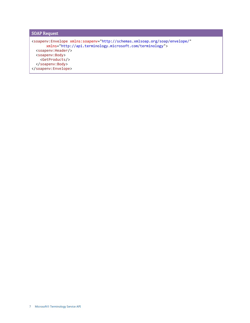SOAP Request <soapenv:Envelope xmlns:soapenv="http://schemas.xmlsoap.org/soap/envelope/" xmlns="http://api.terminology.microsoft.com/terminology"> <soapenv:Header/> <soapenv:Body> <GetProducts/> </soapenv:Body> </soapenv:Envelope>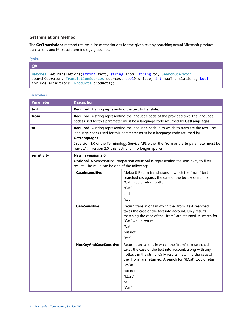#### <span id="page-9-0"></span>**GetTranslations Method**

The **GetTranslations** method returns a list of translations for the given text by searching actual Microsoft product translations and Microsoft terminology glossaries.

#### <span id="page-9-1"></span>Syntax

| C#                                                                                                                                                                                                            |  |
|---------------------------------------------------------------------------------------------------------------------------------------------------------------------------------------------------------------|--|
| Matches GetTranslations(string text, string from, string to, SearchOperator<br>searchOperator, TranslationSources sources, bool? unique, int maxTranslations, bool<br>includeDefinitions, Products products); |  |

| <b>Parameter</b> | <b>Description</b>                                                                                                                                            |                                                                                                                                                                                                                                                                                           |
|------------------|---------------------------------------------------------------------------------------------------------------------------------------------------------------|-------------------------------------------------------------------------------------------------------------------------------------------------------------------------------------------------------------------------------------------------------------------------------------------|
| text             | Required. A string representing the text to translate.                                                                                                        |                                                                                                                                                                                                                                                                                           |
| from             |                                                                                                                                                               | Required. A string representing the language code of the provided text. The language<br>codes used for this parameter must be a language code returned by GetLanguages.                                                                                                                   |
| to               | GetLanguages.<br>"en-us." In version 2.0, this restriction no longer applies.                                                                                 | Required. A string representing the language code in to which to translate the text. The<br>language codes used for this parameter must be a language code returned by<br>In version 1.0 of the Terminology Service API, either the from or the to parameter must be                      |
| sensitivity      | New in version 2.0<br>Optional. A SearchStringComparison enum value representing the sensitivity to filter<br>results. The value can be one of the following: |                                                                                                                                                                                                                                                                                           |
|                  | <b>CaseInsensitive</b>                                                                                                                                        | (default) Return translations in which the "from" text<br>searched disregards the case of the text. A search for<br>"Cat" would return both:<br>"Cat"<br>and<br>"cat"                                                                                                                     |
|                  | <b>CaseSensitive</b>                                                                                                                                          | Return translations in which the "from" text searched<br>takes the case of the text into account. Only results<br>matching the case of the "from" are returned. A search for<br>"Cat" would return:<br>"Cat"<br>but not:<br>"cat"                                                         |
|                  | HotKeyAndCaseSensitive                                                                                                                                        | Return translations in which the "from" text searched<br>takes the case of the text into account, along with any<br>hotkeys in the string. Only results matching the case of<br>the "from" are returned. A search for "&Cat" would return:<br>"&Cat"<br>but not:<br>"&cat"<br>or<br>"Cat" |

<span id="page-9-2"></span>Parameters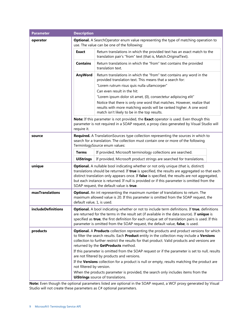| <b>Parameter</b>          | <b>Description</b>                                                                                                                  |                                                                                                                                                                                                  |  |
|---------------------------|-------------------------------------------------------------------------------------------------------------------------------------|--------------------------------------------------------------------------------------------------------------------------------------------------------------------------------------------------|--|
| operator                  | <b>Optional.</b> A SearchOperator enum value representing the type of matching operation to                                         |                                                                                                                                                                                                  |  |
|                           | use. The value can be one of the following:                                                                                         |                                                                                                                                                                                                  |  |
|                           | <b>Exact</b>                                                                                                                        | Return translations in which the provided text has an exact match to the<br>translation pair's "from" text (that is, Match.OriginalText).                                                        |  |
|                           | <b>Contains</b>                                                                                                                     | Return translations in which the "from" text contains the provided<br>translation text.                                                                                                          |  |
|                           | AnyWord                                                                                                                             | Return translations in which the "from" text contains any word in the<br>provided translation text. This means that a search for:                                                                |  |
|                           |                                                                                                                                     | "Lorem rutrum risus quis nulla ullamcorper"                                                                                                                                                      |  |
|                           |                                                                                                                                     | Can even result in the hit:                                                                                                                                                                      |  |
|                           |                                                                                                                                     | "Lorem ipsum dolor sit amet, {0}, consectetur adipiscing elit"                                                                                                                                   |  |
|                           |                                                                                                                                     | Notice that there is only one word that matches. However, realize that<br>results with more matching words will be ranked higher. A one word<br>match isn't likely to be in the top results.     |  |
|                           |                                                                                                                                     | Note: If this parameter is not provided, the Exact operator is used. Even though this                                                                                                            |  |
|                           | require it.                                                                                                                         | parameter is not required in a SOAP request, a proxy class generated by Visual Studio will                                                                                                       |  |
| source                    |                                                                                                                                     | Required. A TranslationSources type collection representing the sources in which to<br>search for a translation. The collection must contain one or more of the following                        |  |
|                           |                                                                                                                                     | TerminlogySource enum values:                                                                                                                                                                    |  |
|                           | <b>Terms</b>                                                                                                                        | If provided, Microsoft terminology collections are searched.                                                                                                                                     |  |
|                           | <b>UiStrings</b>                                                                                                                    | If provided, Microsoft product strings are searched for translations.                                                                                                                            |  |
|                           |                                                                                                                                     |                                                                                                                                                                                                  |  |
| unique                    |                                                                                                                                     | <b>Optional.</b> A nullable bool indicating whether or not only unique (that is, distinct)                                                                                                       |  |
|                           |                                                                                                                                     | translations should be returned. If true is specified, the results are aggregated so that each<br>distinct translation only appears once. If false is specified, the results are not aggregated, |  |
|                           |                                                                                                                                     | but each instance is returned. If null is provided or if this parameter is omitted from the                                                                                                      |  |
|                           |                                                                                                                                     | SOAP request, the default value is true.                                                                                                                                                         |  |
| maxTranslations           |                                                                                                                                     | Optional. An int representing the maximum number of translations to return. The                                                                                                                  |  |
|                           | maximum allowed value is 20. If this parameter is omitted from the SOAP request, the                                                |                                                                                                                                                                                                  |  |
|                           | default value, 1, is used.                                                                                                          |                                                                                                                                                                                                  |  |
| <b>includeDefinitions</b> |                                                                                                                                     | Optional. A bool indicating whether or not to include term definitions. If true, definitions                                                                                                     |  |
|                           |                                                                                                                                     | are returned for the terms in the result set (if available in the data source). If unique is                                                                                                     |  |
|                           |                                                                                                                                     | specified as true, the first definition for each unique set of translation pairs is used. If this                                                                                                |  |
|                           |                                                                                                                                     | parameter is omitted from the SOAP request, the default value, false, is used.                                                                                                                   |  |
| products                  |                                                                                                                                     | <b>Optional. A Products</b> collection representing the products and product versions for which                                                                                                  |  |
|                           |                                                                                                                                     | to filter the search results. Each Product entity in the collection may include a Versions                                                                                                       |  |
|                           | collection to further restrict the results for that product. Valid products and versions are<br>returned by the GetProducts method. |                                                                                                                                                                                                  |  |
|                           |                                                                                                                                     | If this parameter is omitted from the SOAP request or if the parameter is set to null, results                                                                                                   |  |
|                           | are not filtered by products and versions.                                                                                          |                                                                                                                                                                                                  |  |
|                           | If the Versions collection for a product is null or empty, results matching the product are<br>not filtered by version.             |                                                                                                                                                                                                  |  |
|                           |                                                                                                                                     | When the products parameter is provided, the search only includes items from the                                                                                                                 |  |
|                           |                                                                                                                                     | <b>UiStrings</b> source of translations.                                                                                                                                                         |  |

**Note:** Even though the optional parameters listed are optional in the SOAP request, a WCF proxy generated by Visual Studio will not create these parameters as C# optional parameters.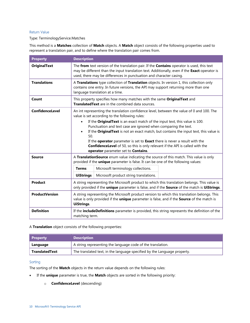#### <span id="page-11-0"></span>Return Value

#### Type: TerminologyService.Matches

This method is a **Matches** collection of **Match** objects. A **Match** object consists of the following properties used to represent a translation pair, and to define where the translation pair comes from.

| <b>Property</b>       | <b>Description</b>                                                                                                                                                                                                                                                 |                                                                                                                                                                                                                                                                                                                                                                                                                                                       |  |
|-----------------------|--------------------------------------------------------------------------------------------------------------------------------------------------------------------------------------------------------------------------------------------------------------------|-------------------------------------------------------------------------------------------------------------------------------------------------------------------------------------------------------------------------------------------------------------------------------------------------------------------------------------------------------------------------------------------------------------------------------------------------------|--|
| <b>OriginalText</b>   | The from text version of the translation pair. If the Contains operator is used, this text<br>may be different than the input translation text. Additionally, even if the Exact operator is<br>used, there may be differences in punctuation and character casing. |                                                                                                                                                                                                                                                                                                                                                                                                                                                       |  |
| <b>Translations</b>   | A Translations type collection of Translation objects. In version 1, this collection only<br>contains one entry. In future versions, the API may support returning more than one<br>language translation at a time.                                                |                                                                                                                                                                                                                                                                                                                                                                                                                                                       |  |
| Count                 |                                                                                                                                                                                                                                                                    | This property specifies how many matches with the same Original Text and<br><b>Translated Text</b> are in the combined data sources.                                                                                                                                                                                                                                                                                                                  |  |
| ConfidenceLevel       |                                                                                                                                                                                                                                                                    | An int representing the translation confidence level, between the value of 0 and 100. The<br>value is set according to the following rules:                                                                                                                                                                                                                                                                                                           |  |
|                       | $\bullet$<br>$\bullet$<br>50.                                                                                                                                                                                                                                      | If the Original Text is an exact match of the input text, this value is 100.<br>Punctuation and text case are ignored when comparing the text.<br>If the Original Text is not an exact match, but contains the input text, this value is<br>If the operator parameter is set to Exact there is never a result with the<br><b>ConfidenceLevel</b> of 50, so this is only relevant if the API is called with the<br>operator parameter set to Contains. |  |
| Source                | A TranslationSource enum value indicating the source of this match. This value is only<br>provided if the unique parameter is false. It can be one of the following values:                                                                                        |                                                                                                                                                                                                                                                                                                                                                                                                                                                       |  |
|                       | <b>Terms</b>                                                                                                                                                                                                                                                       | Microsoft terminology collections.                                                                                                                                                                                                                                                                                                                                                                                                                    |  |
|                       | <b>UiStrings</b>                                                                                                                                                                                                                                                   | Microsoft product string translations.                                                                                                                                                                                                                                                                                                                                                                                                                |  |
| Product               |                                                                                                                                                                                                                                                                    | A string representing the Microsoft product to which this translation belongs. This value is<br>only provided if the unique parameter is false, and if the Source of the match is UiStrings.                                                                                                                                                                                                                                                          |  |
| <b>ProductVersion</b> | <b>UiStrings.</b>                                                                                                                                                                                                                                                  | A string representing the Microsoft product version to which this translation belongs. This<br>value is only provided if the unique parameter is false, and if the Source of the match is                                                                                                                                                                                                                                                             |  |
| <b>Definition</b>     | matching term.                                                                                                                                                                                                                                                     | If the includeDefinitions parameter is provided, this string represents the definition of the                                                                                                                                                                                                                                                                                                                                                         |  |

A **Translation** object consists of the following properties:

| <b>Property</b>       | <b>Description</b>                                                       |
|-----------------------|--------------------------------------------------------------------------|
| Language              | A string representing the language code of the translation.              |
| <b>TranslatedText</b> | The translated text, in the language specified by the Language property. |

#### <span id="page-11-1"></span>Sorting

The sorting of the **Match** objects in the return value depends on the following rules:

- If the **unique** parameter is true, the **Match** objects are sorted in the following priority:
	- o **ConfidenceLevel** (descending)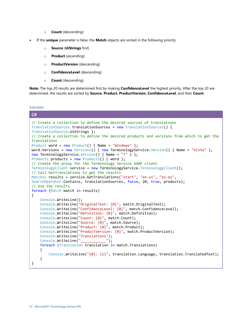- o **Count** (descending)
- If the **unique** parameter is false, the **Match** objects are sorted in the following priority:
	- o **Source** (**UiStrings** first)
	- o **Product** (ascending)
	- o **ProductVersion** (descending)
	- o **ConfidenceLevel** (descending)
	- o **Count** (descending)

**Note:** The top 20 results are determined first by making **ConfidenceLevel** the highest priority. After the top 20 are determined, the results are sorted by **Source**, **Product**, **ProductVersion**, **ConfidenceLevel**, and then **Count**.

<span id="page-12-0"></span>**Examples** 

```
C# 
// Create a collection to define the desired sources of translations
TranslationSources translationSources = new TranslationSources() { 
TranslationSource.UiStrings };
// Create a collection to define the desired products and versions from which to get the 
translations
Product word = new Product() { Name = "Windows" \};
word.Versions = new Versions() { new TerminologyService.Version() { Name = "Vista" },
new TerminologyService.Version() { Name = "7" } };
Products products = new Products() { word };
// Create the proxy for the Terminology Service SOAP client
TerminologyClient service = new TerminologyService.TerminologyClient();
// Call GetTranslations to get the results
Matches results = service.GetTranslations("start", "en-us", "es-es", 
SearchOperator.Contains, translationSources, false, 20, true, products);
// Use the results
foreach (Match match in results)
{
     Console.WriteLine();
     Console.WriteLine("OriginalText: {0}", match.OriginalText);
     Console.WriteLine("ConfidenceLevel: {0}", match.ConfidenceLevel);
     Console.WriteLine("Definition: {0}", match.Definition);
     Console.WriteLine("Count: {0}", match.Count);
     Console.WriteLine("Source: {0}", match.Source);
     Console.WriteLine("Product: {0}", match.Product);
     Console.WriteLine("ProductVersion: {0}", match.ProductVersion);
     Console.WriteLine("Translations");
     Console.WriteLine("____________");
     foreach (Translation translation in match.Translations)
     {
        Console.WriteLine("{0}: {1}", translation.Language, translation.TranslatedText);
     }
}
```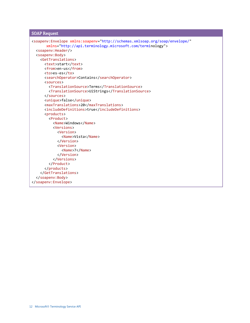```
SOAP Request
```

```
<soapenv:Envelope xmlns:soapenv="http://schemas.xmlsoap.org/soap/envelope/"
       xmlns="http://api.terminology.microsoft.com/terminology">
   <soapenv:Header/>
   <soapenv:Body>
     <GetTranslations>
      <text>start</text>
       <from>en-us</from>
       <to>es-es</to>
       <searchOperator>Contains</searchOperator>
       <sources>
         <TranslationSource>Terms</TranslationSource>
         <TranslationSource>UiStrings</TranslationSource>
       </sources>
       <unique>false</unique>
       <maxTranslations>20</maxTranslations>
       <includeDefinitions>true</includeDefinitions>
       <products>
         <Product>
           <Name>Windows</Name>
           <Versions>
             <Version>
               <Name>Vista</Name>
             </Version>
             <Version>
               <Name>7</Name>
             </Version>
           </Versions>
         </Product>
       </products>
     </GetTranslations>
   </soapenv:Body>
</soapenv:Envelope>
```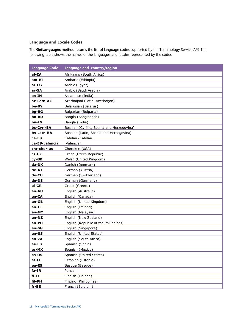#### <span id="page-14-0"></span>**Language and Locale Codes**

The **GetLanguages** method returns the list of language codes supported by the Terminology Service API. The following table shows the names of the languages and locales represented by the codes.

| <b>Language Code</b> | Language and country/region                |
|----------------------|--------------------------------------------|
| af-ZA                | Afrikaans (South Africa)                   |
| am-ET                | Amharic (Ethiopia)                         |
| ar-EG                | Arabic (Egypt)                             |
| ar-SA                | Arabic (Saudi Arabia)                      |
| as-IN                | Assamese (India)                           |
| az-Latn-AZ           | Azerbaijani (Latin, Azerbaijan)            |
| be-BY                | Belarusian (Belarus)                       |
| bg-BG                | Bulgarian (Bulgaria)                       |
| bn-BD                | Bangla (Bangladesh)                        |
| bn-IN                | Bangla (India)                             |
| bs-Cyrl-BA           | Bosnian (Cyrillic, Bosnia and Herzegovina) |
| bs-Latn-BA           | Bosnian (Latin, Bosnia and Herzegovina)    |
| ca-ES                | Catalan (Catalan)                          |
| ca-ES-valencia       | Valencian                                  |
| chr-cher-us          | Cherokee (USA)                             |
| cs-CZ                | Czech (Czech Republic)                     |
| cy-GB                | Welsh (United Kingdom)                     |
| da-DK                | Danish (Denmark)                           |
| de-AT                | German (Austria)                           |
| de-CH                | German (Switzerland)                       |
| de-DE                | German (Germany)                           |
| el-GR                | Greek (Greece)                             |
| en-AU                | English (Australia)                        |
| en-CA                | English (Canada)                           |
| en-GB                | English (United Kingdom)                   |
| en-IE                | English (Ireland)                          |
| en-MY                | English (Malaysia)                         |
| en-NZ                | English (New Zealand)                      |
| en-PH                | English (Republic of the Philippines)      |
| en-SG                | English (Singapore)                        |
| en-US                | English (United States)                    |
| en-ZA                | English (South Africa)                     |
| es-ES                | Spanish (Spain)                            |
| es-MX                | Spanish (Mexico)                           |
| es-US                | Spanish (United States)                    |
| et-EE                | Estonian (Estonia)                         |
| eu-ES                | Basque (Basque)                            |
| fa-IR                | Persian                                    |
| $fi$ -FI             | Finnish (Finland)                          |
| fil-PH               | Filipino (Philippines)                     |
| fr-BE                | French (Belgium)                           |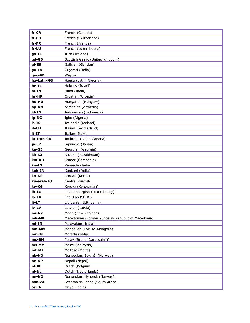| fr-CA      | French (Canada)                                    |
|------------|----------------------------------------------------|
| fr-CH      | French (Switzerland)                               |
| fr-FR      | French (France)                                    |
| fr-LU      | French (Luxembourg)                                |
| ga-IE      | Irish (Ireland)                                    |
| gd-GB      | Scottish Gaelic (United Kingdom)                   |
| gl-ES      | Galician (Galician)                                |
| gu-IN      | Gujarati (India)                                   |
| guc-VE     | Wayuu                                              |
| ha-Latn-NG | Hausa (Latin, Nigeria)                             |
| he-IL      | Hebrew (Israel)                                    |
| hi-IN      | Hindi (India)                                      |
| hr-HR      | Croatian (Croatia)                                 |
| hu-HU      | Hungarian (Hungary)                                |
| hy-AM      | Armenian (Armenia)                                 |
| id-ID      | Indonesian (Indonesia)                             |
| ig-NG      | Igbo (Nigeria)                                     |
| is-IS      | Icelandic (Iceland)                                |
| it-CH      | Italian (Switzerland)                              |
| it-IT      | Italian (Italy)                                    |
| iu-Latn-CA | Inuktitut (Latin, Canada)                          |
| ja-JP      | Japanese (Japan)                                   |
| ka-GE      | Georgian (Georgia)                                 |
| kk-KZ      | Kazakh (Kazakhstan)                                |
| km-KH      | Khmer (Cambodia)                                   |
| kn-IN      | Kannada (India)                                    |
| kok-IN     | Konkani (India)                                    |
| ko-KR      | Korean (Korea)                                     |
| ku-arab-IQ | Central Kurdish                                    |
| ky-KG      | Kyrgyz (Kyrgyzstan)                                |
| Ib-LU      | Luxembourgish (Luxembourg)                         |
| lo-LA      | Lao (Lao P.D.R.)                                   |
| It-LT      | Lithuanian (Lithuania)                             |
| lv-LV      | Latvian (Latvia)                                   |
| mi-NZ      | Maori (New Zealand)                                |
| mk-MK      | Macedonian (Former Yugoslav Republic of Macedonia) |
| ml-IN      | Malayalam (India)                                  |
| mn-MN      | Mongolian (Cyrillic, Mongolia)                     |
| $mr-IN$    | Marathi (India)                                    |
| ms-BN      | Malay (Brunei Darussalam)                          |
| ms-MY      | Malay (Malaysia)                                   |
| mt-MT      | Maltese (Malta)                                    |
| nb-NO      | Norwegian, Bokmål (Norway)                         |
| ne-NP      | Nepali (Nepal)                                     |
| nl-BE      | Dutch (Belgium)                                    |
| nl-NL      | Dutch (Netherlands)                                |
| nn-NO      | Norwegian, Nynorsk (Norway)                        |
| nso-ZA     | Sesotho sa Leboa (South Africa)                    |
| or-IN      | Oriya (India)                                      |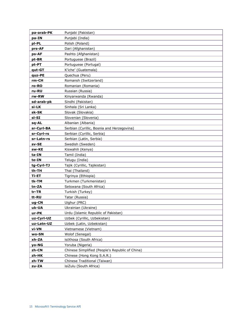| pa-arab-PK   | Punjabi (Pakistan)                              |
|--------------|-------------------------------------------------|
| pa-IN        | Punjabi (India)                                 |
| pl-PL        | Polish (Poland)                                 |
| prs-AF       | Dari (Afghanistan)                              |
| ps-AF        | Pashto (Afghanistan)                            |
| pt-BR        | Portuguese (Brazil)                             |
| pt-PT        | Portuguese (Portugal)                           |
| qut-GT       | K'iche' (Guatemala)                             |
| quz-PE       | Quechua (Peru)                                  |
| rm-CH        | Romansh (Switzerland)                           |
| ro-RO        | Romanian (Romania)                              |
| ru-RU        | Russian (Russia)                                |
| rw-RW        | Kinyarwanda (Rwanda)                            |
| sd-arab-pk   | Sindhi (Pakistan)                               |
| si-LK        | Sinhala (Sri Lanka)                             |
| sk-SK        | Slovak (Slovakia)                               |
| sl-SI        | Slovenian (Slovenia)                            |
| sq-AL        | Albanian (Albania)                              |
| sr-Cyrl-BA   | Serbian (Cyrillic, Bosnia and Herzegovina)      |
| sr-Cyrl-rs   | Serbian (Cyrillic, Serbia)                      |
| sr-Latn-rs   | Serbian (Latin, Serbia)                         |
| sv-SE        | Swedish (Sweden)                                |
| sw-KE        | Kiswahili (Kenya)                               |
| ta-IN        | Tamil (India)                                   |
| te-IN        | Telugu (India)                                  |
| tg-Cyrl-TJ   | Tajik (Cyrillic, Tajikistan)                    |
| th-TH        | Thai (Thailand)                                 |
| <b>Ti-ET</b> | Tigrinya (Ethiopia)                             |
| tk-TM        | Turkmen (Turkmenistan)                          |
| tn-ZA        | Setswana (South Africa)                         |
| tr-TR        | Turkish (Turkey)                                |
| tt-RU        | Tatar (Russia)                                  |
| ug-CN        | Uighur (PRC)                                    |
| uk-UA        | Ukrainian (Ukraine)                             |
| ur-PK        | Urdu (Islamic Republic of Pakistan)             |
| uz-Cyrl-UZ   | Uzbek (Cyrillic, Uzbekistan)                    |
| uz-Latn-UZ   | Uzbek (Latin, Uzbekistan)                       |
| vi-VN        | Vietnamese (Vietnam)                            |
| wo-SN        | Wolof (Senegal)                                 |
| xh-ZA        | isiXhosa (South Africa)                         |
| yo-NG        | Yoruba (Nigeria)                                |
| zh-CN        | Chinese Simplified (People's Republic of China) |
| zh-HK        | Chinese (Hong Kong S.A.R.)                      |
| zh-TW        | Chinese Traditional (Taiwan)                    |
| zu-ZA        | isiZulu (South Africa)                          |